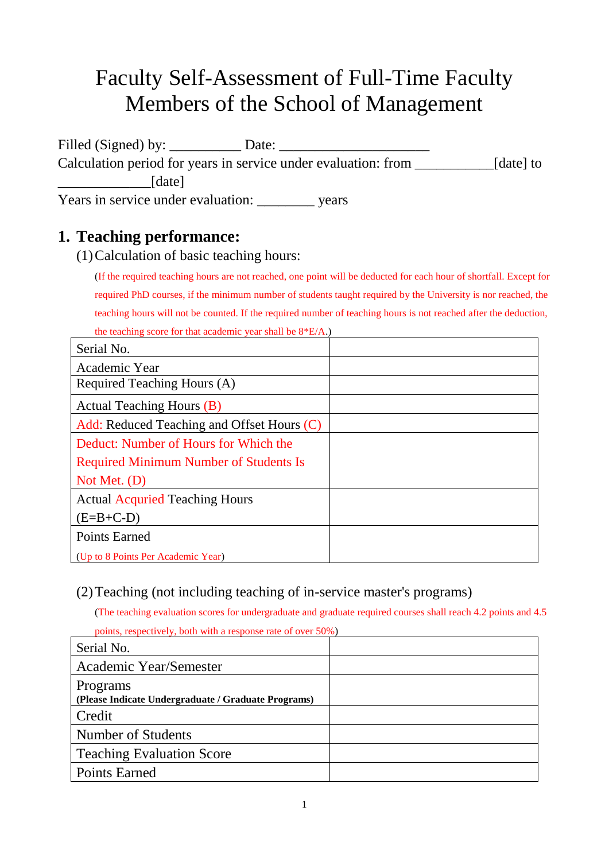# Faculty Self-Assessment of Full-Time Faculty Members of the School of Management

Filled (Signed) by: \_\_\_\_\_\_\_\_\_\_ Date: \_\_\_\_\_\_\_\_\_\_\_\_\_\_\_\_\_\_\_\_\_ Calculation period for years in service under evaluation: from \_\_\_\_\_\_\_\_\_\_\_\_\_\_\_[date] to \_\_\_\_\_\_\_\_\_\_\_\_\_[date] Years in service under evaluation: vears

## **1. Teaching performance:**

(1)Calculation of basic teaching hours:

(If the required teaching hours are not reached, one point will be deducted for each hour of shortfall. Except for required PhD courses, if the minimum number of students taught required by the University is nor reached, the teaching hours will not be counted. If the required number of teaching hours is not reached after the deduction, the teaching score for that academic year shall be 8\*E/A.)

| Serial No.                                    |  |
|-----------------------------------------------|--|
| Academic Year                                 |  |
| Required Teaching Hours (A)                   |  |
| <b>Actual Teaching Hours (B)</b>              |  |
| Add: Reduced Teaching and Offset Hours (C)    |  |
| Deduct: Number of Hours for Which the         |  |
| <b>Required Minimum Number of Students Is</b> |  |
| Not Met. $(D)$                                |  |
| <b>Actual Acquried Teaching Hours</b>         |  |
| $(E=B+C-D)$                                   |  |
| <b>Points Earned</b>                          |  |
| (Up to 8 Points Per Academic Year)            |  |

#### (2)Teaching (not including teaching of in-service master's programs)

(The teaching evaluation scores for undergraduate and graduate required courses shall reach 4.2 points and 4.5

| points, respectively, both with a response rate of over 50%)    |  |
|-----------------------------------------------------------------|--|
| Serial No.                                                      |  |
| Academic Year/Semester                                          |  |
| Programs<br>(Please Indicate Undergraduate / Graduate Programs) |  |
| Credit                                                          |  |
| Number of Students                                              |  |
| <b>Teaching Evaluation Score</b>                                |  |
| <b>Points Earned</b>                                            |  |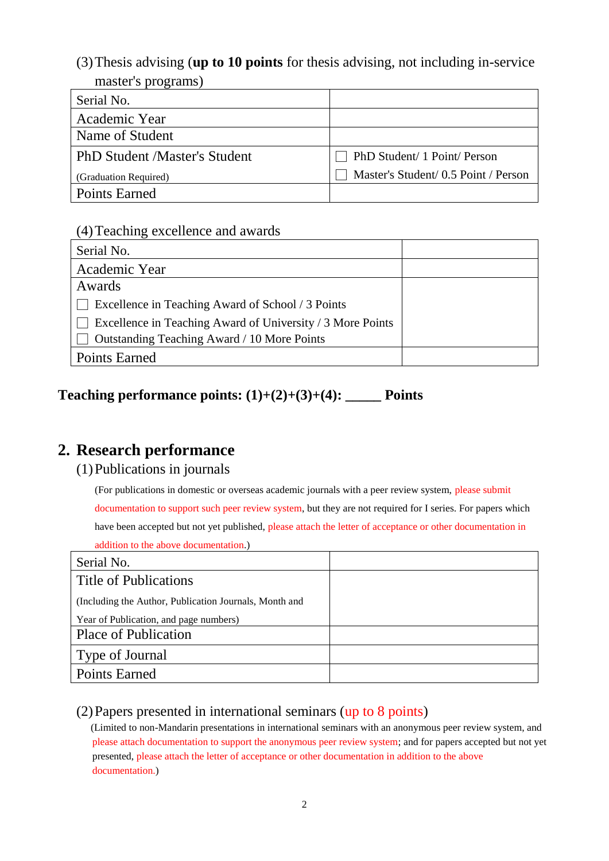(3)Thesis advising (**up to 10 points** for thesis advising, not including in-service master's programs)

| Serial No.                           |                                      |
|--------------------------------------|--------------------------------------|
| Academic Year                        |                                      |
| Name of Student                      |                                      |
| <b>PhD Student /Master's Student</b> | PhD Student/ 1 Point/ Person         |
| (Graduation Required)                | Master's Student/ 0.5 Point / Person |
| <b>Points Earned</b>                 |                                      |

#### (4)Teaching excellence and awards

| Serial No.                                                        |  |
|-------------------------------------------------------------------|--|
| Academic Year                                                     |  |
| Awards                                                            |  |
| Excellence in Teaching Award of School / 3 Points<br>$\mathbf{L}$ |  |
| Excellence in Teaching Award of University / 3 More Points        |  |
| Outstanding Teaching Award / 10 More Points                       |  |
| <b>Points Earned</b>                                              |  |

## **Teaching performance points: (1)+(2)+(3)+(4): \_\_\_\_\_ Points**

## **2. Research performance**

#### (1)Publications in journals

(For publications in domestic or overseas academic journals with a peer review system, please submit

documentation to support such peer review system, but they are not required for I series. For papers which have been accepted but not yet published, please attach the letter of acceptance or other documentation in addition to the above documentation.)

| Serial No.                                             |  |
|--------------------------------------------------------|--|
| Title of Publications                                  |  |
| (Including the Author, Publication Journals, Month and |  |
| Year of Publication, and page numbers)                 |  |
| <b>Place of Publication</b>                            |  |
| Type of Journal                                        |  |
| <b>Points Earned</b>                                   |  |

#### (2)Papers presented in international seminars (up to 8 points)

(Limited to non-Mandarin presentations in international seminars with an anonymous peer review system, and please attach documentation to support the anonymous peer review system; and for papers accepted but not yet presented, please attach the letter of acceptance or other documentation in addition to the above documentation.)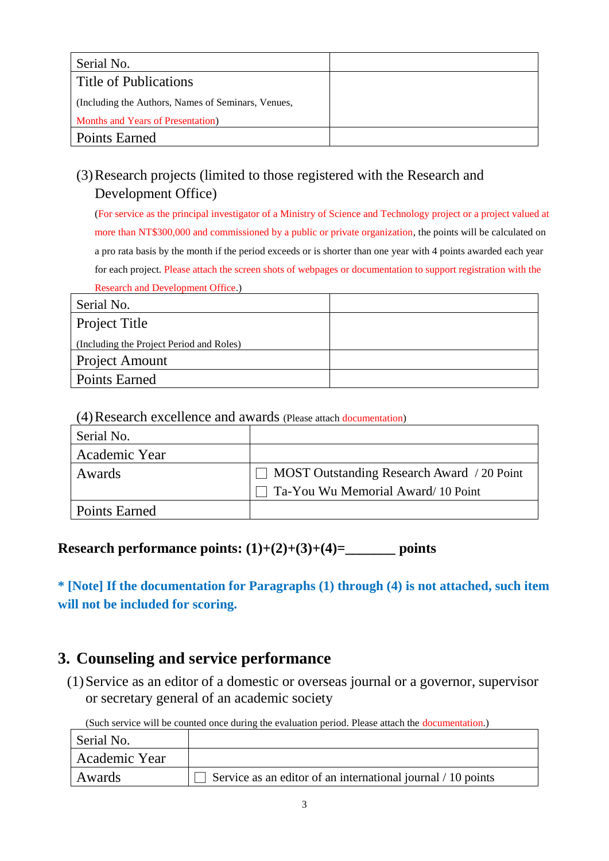| Serial No.                                         |  |
|----------------------------------------------------|--|
| Title of Publications                              |  |
| (Including the Authors, Names of Seminars, Venues, |  |
| Months and Years of Presentation)                  |  |
| <b>Points Earned</b>                               |  |

## (3)Research projects (limited to those registered with the Research and Development Office)

(For service as the principal investigator of a Ministry of Science and Technology project or a project valued at more than NT\$300,000 and commissioned by a public or private organization, the points will be calculated on a pro rata basis by the month if the period exceeds or is shorter than one year with 4 points awarded each year for each project. Please attach the screen shots of webpages or documentation to support registration with the Research and Development Office.)

| Serial No.                               |  |
|------------------------------------------|--|
| Project Title                            |  |
| (Including the Project Period and Roles) |  |
| Project Amount                           |  |
| <b>Points Earned</b>                     |  |

#### (4)Research excellence and awards (Please attach documentation)

| Serial No.    |                                                   |
|---------------|---------------------------------------------------|
| Academic Year |                                                   |
| Awards        | $\Box$ MOST Outstanding Research Award / 20 Point |
|               | Ta-You Wu Memorial Award/10 Point                 |
| Points Earned |                                                   |

#### **Research performance points: (1)+(2)+(3)+(4)=\_\_\_\_\_\_\_ points**

**\* [Note] If the documentation for Paragraphs (1) through (4) is not attached, such item will not be included for scoring.**

#### **3. Counseling and service performance**

(1)Service as an editor of a domestic or overseas journal or a governor, supervisor or secretary general of an academic society

(Such service will be counted once during the evaluation period. Please attach the documentation.)

| Serial No.    |                                                              |
|---------------|--------------------------------------------------------------|
| Academic Year |                                                              |
| Awards        | Service as an editor of an international journal / 10 points |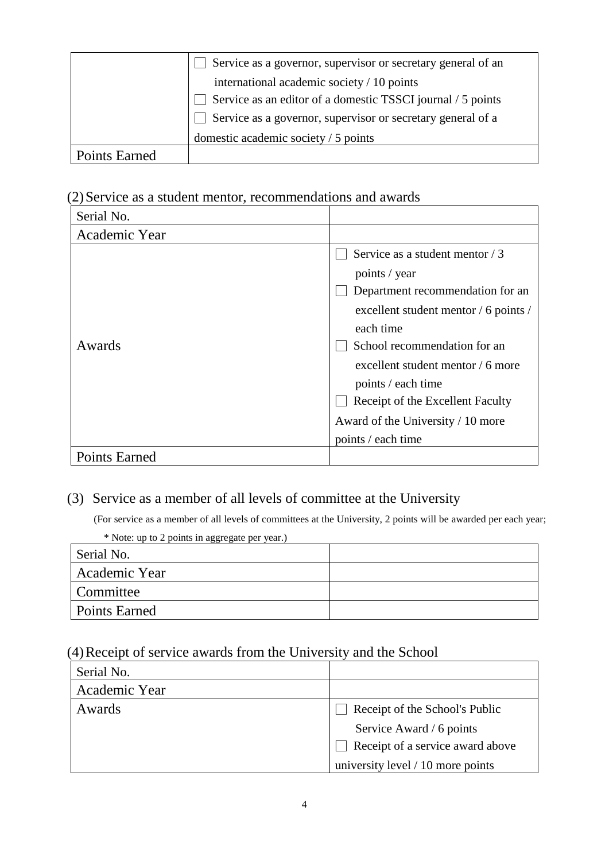|               | Service as a governor, supervisor or secretary general of an |
|---------------|--------------------------------------------------------------|
|               | international academic society / 10 points                   |
|               | Service as an editor of a domestic TSSCI journal / 5 points  |
|               | Service as a governor, supervisor or secretary general of a  |
|               | domestic academic society / 5 points                         |
| Points Earned |                                                              |

#### (2)Service as a student mentor, recommendations and awards

| Serial No.           |                                                  |
|----------------------|--------------------------------------------------|
| Academic Year        |                                                  |
|                      | Service as a student mentor / 3<br>points / year |
|                      | Department recommendation for an                 |
|                      | excellent student mentor / 6 points /            |
|                      | each time                                        |
| Awards               | School recommendation for an                     |
|                      | excellent student mentor $/6$ more               |
|                      | points / each time                               |
|                      | Receipt of the Excellent Faculty                 |
|                      | Award of the University / 10 more                |
|                      | points / each time                               |
| <b>Points Earned</b> |                                                  |

#### (3) Service as a member of all levels of committee at the University

(For service as a member of all levels of committees at the University, 2 points will be awarded per each year;

| * Note: up to 2 points in aggregate per year.) |  |
|------------------------------------------------|--|
| Serial No.                                     |  |
| Academic Year                                  |  |
| Committee                                      |  |
| <b>Points Earned</b>                           |  |

#### (4)Receipt of service awards from the University and the School

| Serial No.    |                                     |
|---------------|-------------------------------------|
| Academic Year |                                     |
| Awards        | Receipt of the School's Public      |
|               | Service Award / 6 points            |
|               | Receipt of a service award above    |
|               | university level $/ 10$ more points |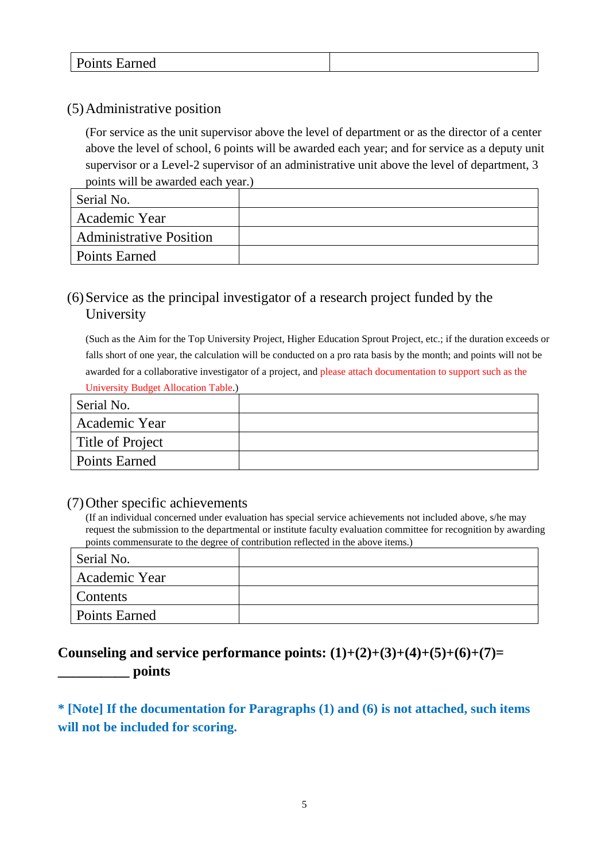|--|

#### (5)Administrative position

(For service as the unit supervisor above the level of department or as the director of a center above the level of school, 6 points will be awarded each year; and for service as a deputy unit supervisor or a Level-2 supervisor of an administrative unit above the level of department, 3 points will be awarded each year.)

| Serial No.                     |  |
|--------------------------------|--|
| Academic Year                  |  |
| <b>Administrative Position</b> |  |
| <b>Points Earned</b>           |  |

#### (6)Service as the principal investigator of a research project funded by the **University**

(Such as the Aim for the Top University Project, Higher Education Sprout Project, etc.; if the duration exceeds or falls short of one year, the calculation will be conducted on a pro rata basis by the month; and points will not be awarded for a collaborative investigator of a project, and please attach documentation to support such as the University Budget Allocation Table.)

| Serial No.       |  |
|------------------|--|
| Academic Year    |  |
| Title of Project |  |
| Points Earned    |  |

#### (7)Other specific achievements

(If an individual concerned under evaluation has special service achievements not included above, s/he may request the submission to the departmental or institute faculty evaluation committee for recognition by awarding points commensurate to the degree of contribution reflected in the above items.)

| Serial No.           |  |
|----------------------|--|
| Academic Year        |  |
| <b>Contents</b>      |  |
| <b>Points Earned</b> |  |

#### **Counseling and service performance points: (1)+(2)+(3)+(4)+(5)+(6)+(7)= \_\_\_\_\_\_\_\_\_\_ points**

**\* [Note] If the documentation for Paragraphs (1) and (6) is not attached, such items will not be included for scoring.**